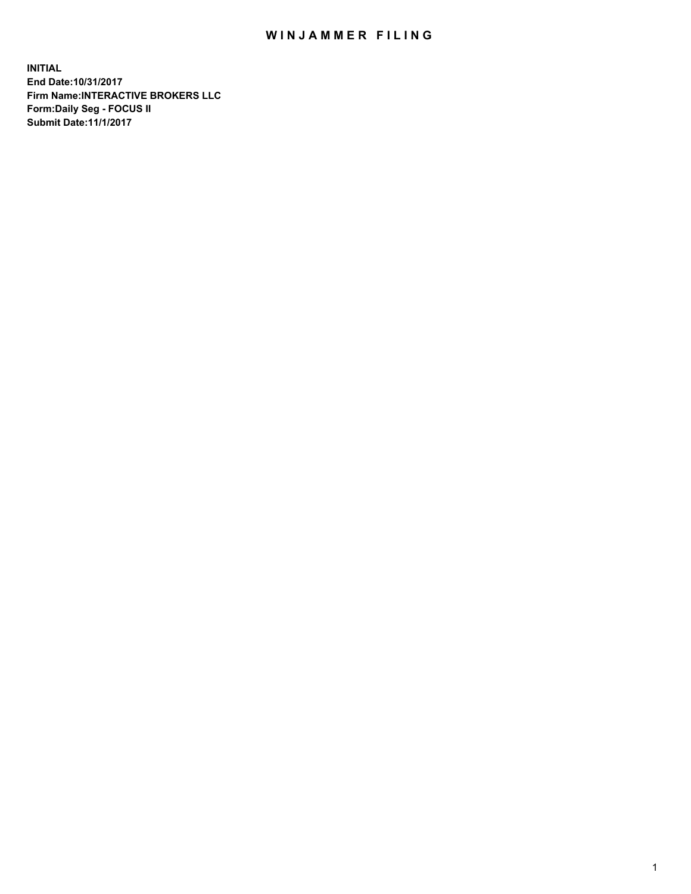## WIN JAMMER FILING

**INITIAL End Date:10/31/2017 Firm Name:INTERACTIVE BROKERS LLC Form:Daily Seg - FOCUS II Submit Date:11/1/2017**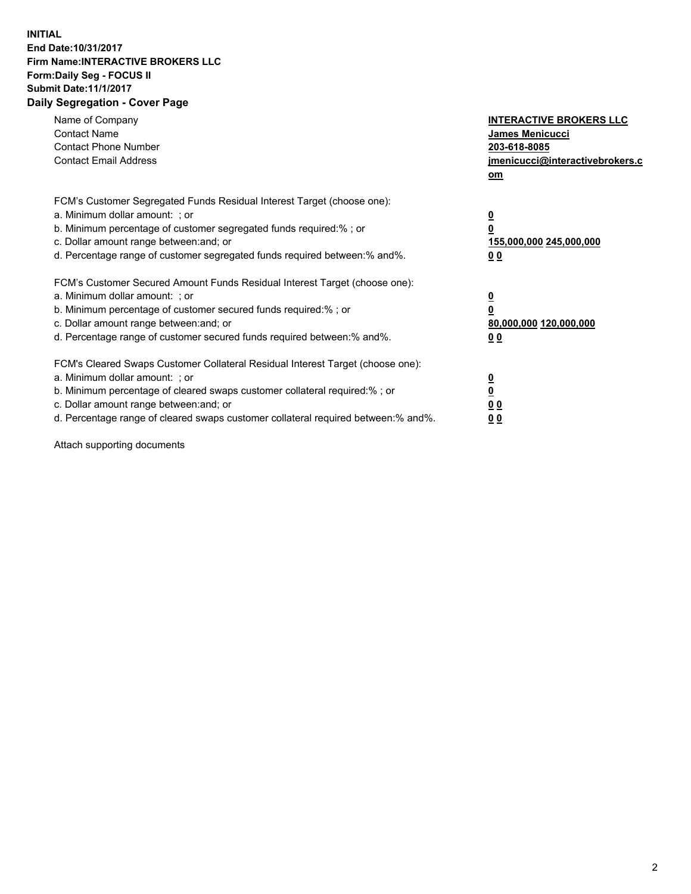## **INITIAL End Date:10/31/2017 Firm Name:INTERACTIVE BROKERS LLC Form:Daily Seg - FOCUS II Submit Date:11/1/2017 Daily Segregation - Cover Page**

| Name of Company<br><b>Contact Name</b><br><b>Contact Phone Number</b><br><b>Contact Email Address</b>                                                                                                                                                                                                                          | <b>INTERACTIVE BROKERS LLC</b><br><b>James Menicucci</b><br>203-618-8085<br>jmenicucci@interactivebrokers.c<br>om |
|--------------------------------------------------------------------------------------------------------------------------------------------------------------------------------------------------------------------------------------------------------------------------------------------------------------------------------|-------------------------------------------------------------------------------------------------------------------|
| FCM's Customer Segregated Funds Residual Interest Target (choose one):<br>a. Minimum dollar amount: ; or<br>b. Minimum percentage of customer segregated funds required:% ; or<br>c. Dollar amount range between: and; or<br>d. Percentage range of customer segregated funds required between:% and%.                         | $\overline{\mathbf{0}}$<br>0<br><u>155,000,000 245,000,000</u><br><u>00</u>                                       |
| FCM's Customer Secured Amount Funds Residual Interest Target (choose one):<br>a. Minimum dollar amount: ; or<br>b. Minimum percentage of customer secured funds required:%; or<br>c. Dollar amount range between: and; or<br>d. Percentage range of customer secured funds required between:% and%.                            | $\overline{\mathbf{0}}$<br>$\overline{\mathbf{0}}$<br>80,000,000 120,000,000<br>00                                |
| FCM's Cleared Swaps Customer Collateral Residual Interest Target (choose one):<br>a. Minimum dollar amount: ; or<br>b. Minimum percentage of cleared swaps customer collateral required:% ; or<br>c. Dollar amount range between: and; or<br>d. Percentage range of cleared swaps customer collateral required between:% and%. | $\underline{\mathbf{0}}$<br>$\underline{\mathbf{0}}$<br>0 <sub>0</sub><br>0 <sub>0</sub>                          |

Attach supporting documents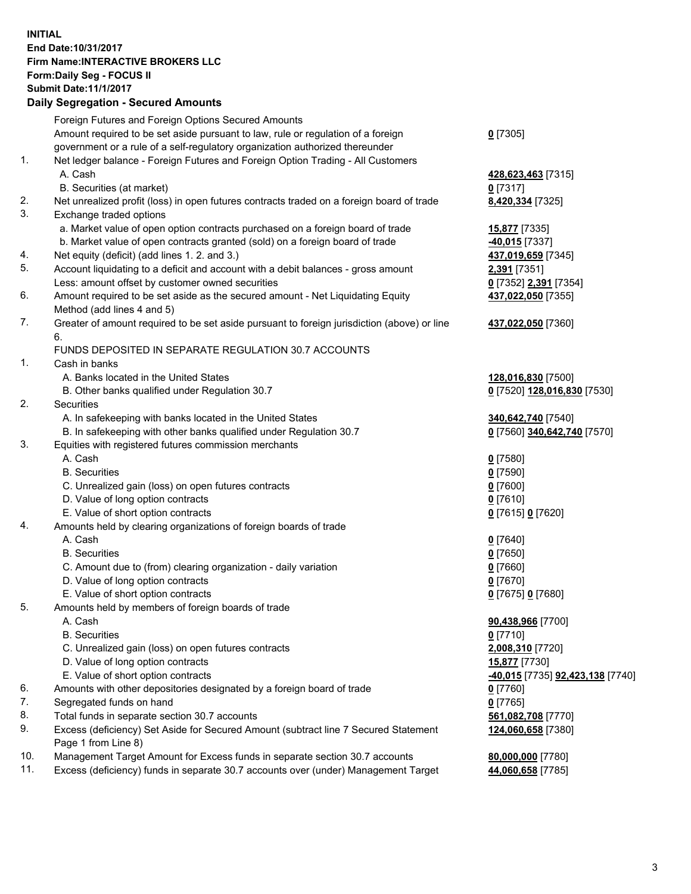## **INITIAL End Date:10/31/2017 Firm Name:INTERACTIVE BROKERS LLC Form:Daily Seg - FOCUS II Submit Date:11/1/2017 Daily Segregation - Secured Amounts**

|     | Daily Jegregation - Jeculed Aniounts                                                                       |                                  |
|-----|------------------------------------------------------------------------------------------------------------|----------------------------------|
|     | Foreign Futures and Foreign Options Secured Amounts                                                        |                                  |
|     | Amount required to be set aside pursuant to law, rule or regulation of a foreign                           | $0$ [7305]                       |
|     | government or a rule of a self-regulatory organization authorized thereunder                               |                                  |
| 1.  | Net ledger balance - Foreign Futures and Foreign Option Trading - All Customers                            |                                  |
|     | A. Cash                                                                                                    | 428,623,463 [7315]               |
|     | B. Securities (at market)                                                                                  | 0 [7317]                         |
| 2.  | Net unrealized profit (loss) in open futures contracts traded on a foreign board of trade                  | 8,420,334 [7325]                 |
| 3.  | Exchange traded options                                                                                    |                                  |
|     | a. Market value of open option contracts purchased on a foreign board of trade                             | <b>15,877</b> [7335]             |
|     | b. Market value of open contracts granted (sold) on a foreign board of trade                               | <b>40,015</b> [7337]             |
| 4.  | Net equity (deficit) (add lines 1. 2. and 3.)                                                              | 437,019,659 [7345]               |
| 5.  | Account liquidating to a deficit and account with a debit balances - gross amount                          | 2,391 [7351]                     |
|     | Less: amount offset by customer owned securities                                                           | 0 [7352] 2,391 [7354]            |
| 6.  | Amount required to be set aside as the secured amount - Net Liquidating Equity                             | 437,022,050 [7355]               |
|     | Method (add lines 4 and 5)                                                                                 |                                  |
| 7.  | Greater of amount required to be set aside pursuant to foreign jurisdiction (above) or line                | 437,022,050 [7360]               |
|     | 6.                                                                                                         |                                  |
|     | FUNDS DEPOSITED IN SEPARATE REGULATION 30.7 ACCOUNTS                                                       |                                  |
| 1.  | Cash in banks                                                                                              |                                  |
|     | A. Banks located in the United States                                                                      | 128,016,830 [7500]               |
|     | B. Other banks qualified under Regulation 30.7                                                             | 0 [7520] 128,016,830 [7530]      |
| 2.  | Securities                                                                                                 |                                  |
|     | A. In safekeeping with banks located in the United States                                                  | 340,642,740 [7540]               |
|     | B. In safekeeping with other banks qualified under Regulation 30.7                                         | 0 [7560] 340,642,740 [7570]      |
| 3.  | Equities with registered futures commission merchants                                                      |                                  |
|     | A. Cash                                                                                                    | $0$ [7580]                       |
|     | <b>B.</b> Securities                                                                                       | $0$ [7590]                       |
|     | C. Unrealized gain (loss) on open futures contracts                                                        | $0$ [7600]                       |
|     | D. Value of long option contracts                                                                          | $0$ [7610]                       |
|     | E. Value of short option contracts                                                                         | 0 [7615] 0 [7620]                |
| 4.  | Amounts held by clearing organizations of foreign boards of trade                                          |                                  |
|     | A. Cash                                                                                                    | $0$ [7640]                       |
|     | <b>B.</b> Securities                                                                                       | $0$ [7650]                       |
|     | C. Amount due to (from) clearing organization - daily variation                                            | $0$ [7660]                       |
|     | D. Value of long option contracts                                                                          | $0$ [7670]                       |
|     | E. Value of short option contracts                                                                         | 0 [7675] 0 [7680]                |
| 5.  | Amounts held by members of foreign boards of trade                                                         |                                  |
|     | A. Cash                                                                                                    | 90,438,966 [7700]                |
|     | <b>B.</b> Securities                                                                                       | $0$ [7710]                       |
|     | C. Unrealized gain (loss) on open futures contracts                                                        | 2,008,310 [7720]                 |
|     | D. Value of long option contracts                                                                          | 15,877 [7730]                    |
|     | E. Value of short option contracts                                                                         | -40,015 [7735] 92,423,138 [7740] |
| 6.  | Amounts with other depositories designated by a foreign board of trade                                     | 0 [7760]                         |
| 7.  | Segregated funds on hand                                                                                   | $0$ [7765]                       |
| 8.  | Total funds in separate section 30.7 accounts                                                              | 561,082,708 [7770]               |
| 9.  | Excess (deficiency) Set Aside for Secured Amount (subtract line 7 Secured Statement<br>Page 1 from Line 8) | 124,060,658 [7380]               |
| 10. | Management Target Amount for Excess funds in separate section 30.7 accounts                                | 80,000,000 [7780]                |
| 11. | Excess (deficiency) funds in separate 30.7 accounts over (under) Management Target                         | 44,060,658 [7785]                |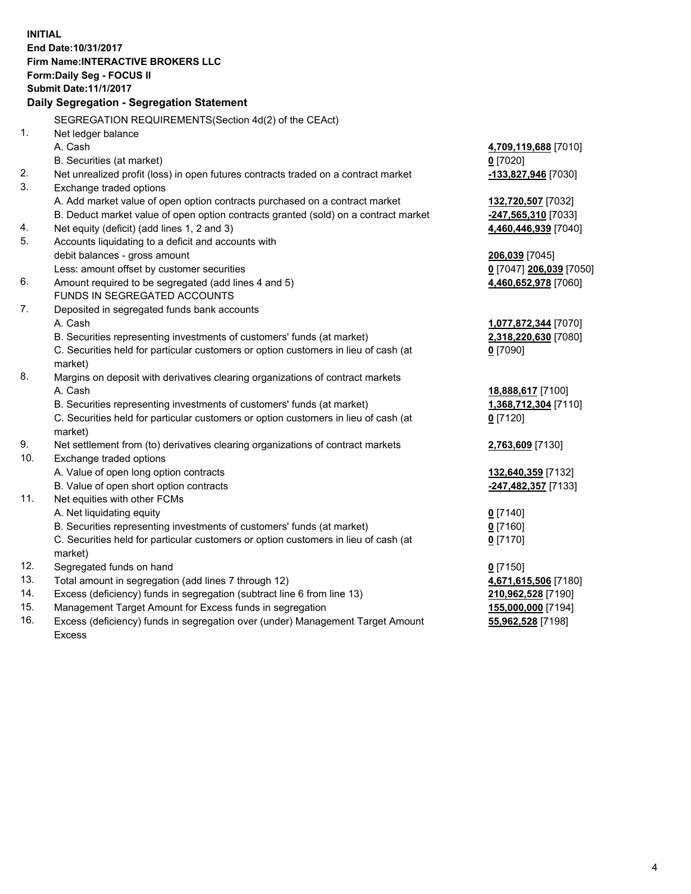**INITIAL End Date:10/31/2017 Firm Name:INTERACTIVE BROKERS LLC Form:Daily Seg - FOCUS II Submit Date:11/1/2017 Daily Segregation - Segregation Statement** SEGREGATION REQUIREMENTS(Section 4d(2) of the CEAct) 1. Net ledger balance A. Cash **4,709,119,688** [7010] B. Securities (at market) **0** [7020] 2. Net unrealized profit (loss) in open futures contracts traded on a contract market **-133,827,946** [7030] 3. Exchange traded options A. Add market value of open option contracts purchased on a contract market **132,720,507** [7032] B. Deduct market value of open option contracts granted (sold) on a contract market **-247,565,310** [7033] 4. Net equity (deficit) (add lines 1, 2 and 3) **4,460,446,939** [7040] 5. Accounts liquidating to a deficit and accounts with debit balances - gross amount **206,039** [7045] Less: amount offset by customer securities **0** [7047] **206,039** [7050] 6. Amount required to be segregated (add lines 4 and 5) **4,460,652,978** [7060] FUNDS IN SEGREGATED ACCOUNTS 7. Deposited in segregated funds bank accounts A. Cash **1,077,872,344** [7070] B. Securities representing investments of customers' funds (at market) **2,318,220,630** [7080] C. Securities held for particular customers or option customers in lieu of cash (at market) **0** [7090] 8. Margins on deposit with derivatives clearing organizations of contract markets A. Cash **18,888,617** [7100] B. Securities representing investments of customers' funds (at market) **1,368,712,304** [7110] C. Securities held for particular customers or option customers in lieu of cash (at market) **0** [7120] 9. Net settlement from (to) derivatives clearing organizations of contract markets **2,763,609** [7130] 10. Exchange traded options A. Value of open long option contracts **132,640,359** [7132] B. Value of open short option contracts **-247,482,357** [7133] 11. Net equities with other FCMs A. Net liquidating equity **0** [7140] B. Securities representing investments of customers' funds (at market) **0** [7160] C. Securities held for particular customers or option customers in lieu of cash (at market) **0** [7170] 12. Segregated funds on hand **0** [7150] 13. Total amount in segregation (add lines 7 through 12) **4,671,615,506** [7180] 14. Excess (deficiency) funds in segregation (subtract line 6 from line 13) **210,962,528** [7190] 15. Management Target Amount for Excess funds in segregation **155,000,000** [7194] **55,962,528** [7198]

16. Excess (deficiency) funds in segregation over (under) Management Target Amount Excess